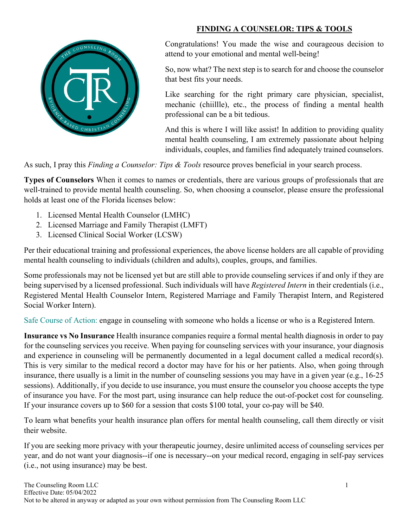

## **FINDING A COUNSELOR: TIPS & TOOLS**

Congratulations! You made the wise and courageous decision to attend to your emotional and mental well-being!

So, now what? The next step is to search for and choose the counselor that best fits your needs.

Like searching for the right primary care physician, specialist, mechanic (chiillle), etc., the process of finding a mental health professional can be a bit tedious.

And this is where I will like assist! In addition to providing quality mental health counseling, I am extremely passionate about helping individuals, couples, and families find adequately trained counselors.

As such, I pray this *Finding a Counselor: Tips & Tools* resource proves beneficial in your search process.

**Types of Counselors** When it comes to names or credentials, there are various groups of professionals that are well-trained to provide mental health counseling. So, when choosing a counselor, please ensure the professional holds at least one of the Florida licenses below:

- 1. Licensed Mental Health Counselor (LMHC)
- 2. Licensed Marriage and Family Therapist (LMFT)
- 3. Licensed Clinical Social Worker (LCSW)

Per their educational training and professional experiences, the above license holders are all capable of providing mental health counseling to individuals (children and adults), couples, groups, and families.

Some professionals may not be licensed yet but are still able to provide counseling services if and only if they are being supervised by a licensed professional. Such individuals will have *Registered Intern* in their credentials (i.e., Registered Mental Health Counselor Intern, Registered Marriage and Family Therapist Intern, and Registered Social Worker Intern).

Safe Course of Action: engage in counseling with someone who holds a license or who is a Registered Intern.

**Insurance vs No Insurance** Health insurance companies require a formal mental health diagnosis in order to pay for the counseling services you receive. When paying for counseling services with your insurance, your diagnosis and experience in counseling will be permanently documented in a legal document called a medical record(s). This is very similar to the medical record a doctor may have for his or her patients. Also, when going through insurance, there usually is a limit in the number of counseling sessions you may have in a given year (e.g., 16-25 sessions). Additionally, if you decide to use insurance, you must ensure the counselor you choose accepts the type of insurance you have. For the most part, using insurance can help reduce the out-of-pocket cost for counseling. If your insurance covers up to \$60 for a session that costs \$100 total, your co-pay will be \$40.

To learn what benefits your health insurance plan offers for mental health counseling, call them directly or visit their website.

If you are seeking more privacy with your therapeutic journey, desire unlimited access of counseling services per year, and do not want your diagnosis--if one is necessary--on your medical record, engaging in self-pay services (i.e., not using insurance) may be best.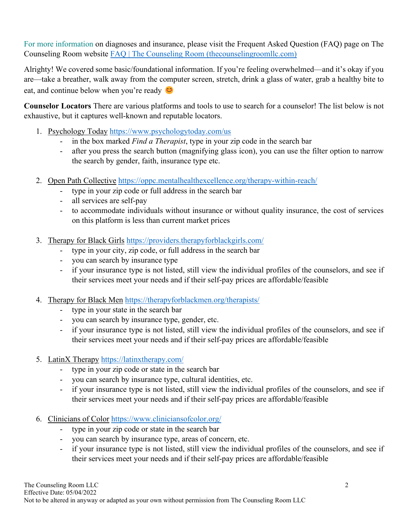For more information on diagnoses and insurance, please visit the Frequent Asked Question (FAQ) page on The Counseling Room website [FAQ | The Counseling Room \(thecounselingroomllc.com\)](https://www.thecounselingroomllc.com/faq)

Alrighty! We covered some basic/foundational information. If you're feeling overwhelmed—and it's okay if you are—take a breather, walk away from the computer screen, stretch, drink a glass of water, grab a healthy bite to eat, and continue below when you're ready  $\bullet$ 

**Counselor Locators** There are various platforms and tools to use to search for a counselor! The list below is not exhaustive, but it captures well-known and reputable locators.

- 1. Psychology Today<https://www.psychologytoday.com/us>
	- in the box marked *Find a Therapist*, type in your zip code in the search bar
	- after you press the search button (magnifying glass icon), you can use the filter option to narrow the search by gender, faith, insurance type etc.
- 2. Open Path Collective <https://oppc.mentalhealthexcellence.org/therapy-within-reach/>
	- type in your zip code or full address in the search bar
	- all services are self-pay
	- to accommodate individuals without insurance or without quality insurance, the cost of services on this platform is less than current market prices
- 3. Therapy for Black Girls <https://providers.therapyforblackgirls.com/>
	- type in your city, zip code, or full address in the search bar
	- you can search by insurance type
	- if your insurance type is not listed, still view the individual profiles of the counselors, and see if their services meet your needs and if their self-pay prices are affordable/feasible
- 4. Therapy for Black Men <https://therapyforblackmen.org/therapists/>
	- type in your state in the search bar
	- you can search by insurance type, gender, etc.
	- if your insurance type is not listed, still view the individual profiles of the counselors, and see if their services meet your needs and if their self-pay prices are affordable/feasible
- 5. LatinX Therapy <https://latinxtherapy.com/>
	- type in your zip code or state in the search bar
	- you can search by insurance type, cultural identities, etc.
	- if your insurance type is not listed, still view the individual profiles of the counselors, and see if their services meet your needs and if their self-pay prices are affordable/feasible
- 6. Clinicians of Color<https://www.cliniciansofcolor.org/>
	- type in your zip code or state in the search bar
	- you can search by insurance type, areas of concern, etc.
	- if your insurance type is not listed, still view the individual profiles of the counselors, and see if their services meet your needs and if their self-pay prices are affordable/feasible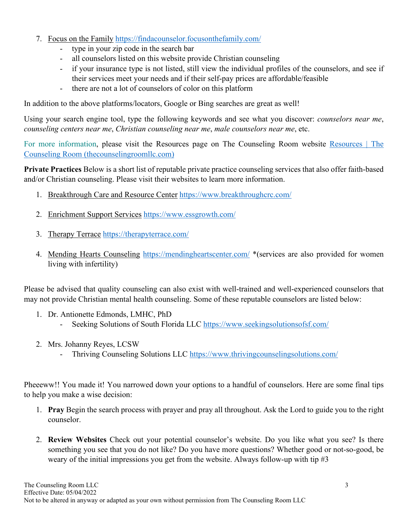- 7. Focus on the Family<https://findacounselor.focusonthefamily.com/>
	- type in your zip code in the search bar
	- all counselors listed on this website provide Christian counseling
	- if your insurance type is not listed, still view the individual profiles of the counselors, and see if their services meet your needs and if their self-pay prices are affordable/feasible
	- there are not a lot of counselors of color on this platform

In addition to the above platforms/locators, Google or Bing searches are great as well!

Using your search engine tool, type the following keywords and see what you discover: *counselors near me*, *counseling centers near me*, *Christian counseling near me*, *male counselors near me*, etc.

For more information, please visit the Resources page on The Counseling Room website [Resources | The](https://www.thecounselingroomllc.com/resources)  [Counseling Room \(thecounselingroomllc.com\)](https://www.thecounselingroomllc.com/resources)

**Private Practices** Below is a short list of reputable private practice counseling services that also offer faith-based and/or Christian counseling. Please visit their websites to learn more information.

- 1. Breakthrough Care and Resource Center<https://www.breakthroughcrc.com/>
- 2. Enrichment Support Services<https://www.essgrowth.com/>
- 3. Therapy Terrace <https://therapyterrace.com/>
- 4. Mending Hearts Counseling <https://mendingheartscenter.com/> \*(services are also provided for women living with infertility)

Please be advised that quality counseling can also exist with well-trained and well-experienced counselors that may not provide Christian mental health counseling. Some of these reputable counselors are listed below:

- 1. Dr. Antionette Edmonds, LMHC, PhD
	- Seeking Solutions of South Florida LLC https://www.seekingsolutionsofsf.com/
- 2. Mrs. Johanny Reyes, LCSW
	- Thriving Counseling Solutions LLC<https://www.thrivingcounselingsolutions.com/>

Pheeeww!! You made it! You narrowed down your options to a handful of counselors. Here are some final tips to help you make a wise decision:

- 1. **Pray** Begin the search process with prayer and pray all throughout. Ask the Lord to guide you to the right counselor.
- 2. **Review Websites** Check out your potential counselor's website. Do you like what you see? Is there something you see that you do not like? Do you have more questions? Whether good or not-so-good, be weary of the initial impressions you get from the website. Always follow-up with tip  $#3$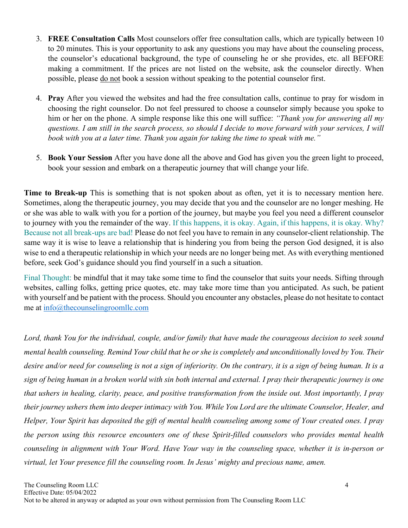- 3. **FREE Consultation Calls** Most counselors offer free consultation calls, which are typically between 10 to 20 minutes. This is your opportunity to ask any questions you may have about the counseling process, the counselor's educational background, the type of counseling he or she provides, etc. all BEFORE making a commitment. If the prices are not listed on the website, ask the counselor directly. When possible, please do not book a session without speaking to the potential counselor first.
- 4. **Pray** After you viewed the websites and had the free consultation calls, continue to pray for wisdom in choosing the right counselor. Do not feel pressured to choose a counselor simply because you spoke to him or her on the phone. A simple response like this one will suffice: *"Thank you for answering all my questions. I am still in the search process, so should I decide to move forward with your services, I will book with you at a later time. Thank you again for taking the time to speak with me."*
- 5. **Book Your Session** After you have done all the above and God has given you the green light to proceed, book your session and embark on a therapeutic journey that will change your life.

**Time to Break-up** This is something that is not spoken about as often, yet it is to necessary mention here. Sometimes, along the therapeutic journey, you may decide that you and the counselor are no longer meshing. He or she was able to walk with you for a portion of the journey, but maybe you feel you need a different counselor to journey with you the remainder of the way. If this happens, it is okay. Again, if this happens, it is okay. Why? Because not all break-ups are bad! Please do not feel you have to remain in any counselor-client relationship. The same way it is wise to leave a relationship that is hindering you from being the person God designed, it is also wise to end a therapeutic relationship in which your needs are no longer being met. As with everything mentioned before, seek God's guidance should you find yourself in a such a situation.

Final Thought: be mindful that it may take some time to find the counselor that suits your needs. Sifting through websites, calling folks, getting price quotes, etc. may take more time than you anticipated. As such, be patient with yourself and be patient with the process. Should you encounter any obstacles, please do not hesitate to contact me at [info@thecounselingroomllc.com](mailto:info@thecounselingroomllc.com) 

*Lord, thank You for the individual, couple, and/or family that have made the courageous decision to seek sound mental health counseling. Remind Your child that he or she is completely and unconditionally loved by You. Their desire and/or need for counseling is not a sign of inferiority. On the contrary, it is a sign of being human. It is a sign of being human in a broken world with sin both internal and external. I pray their therapeutic journey is one that ushers in healing, clarity, peace, and positive transformation from the inside out. Most importantly, I pray their journey ushers them into deeper intimacy with You. While You Lord are the ultimate Counselor, Healer, and Helper, Your Spirit has deposited the gift of mental health counseling among some of Your created ones. I pray the person using this resource encounters one of these Spirit-filled counselors who provides mental health counseling in alignment with Your Word. Have Your way in the counseling space, whether it is in-person or virtual, let Your presence fill the counseling room. In Jesus' mighty and precious name, amen.*